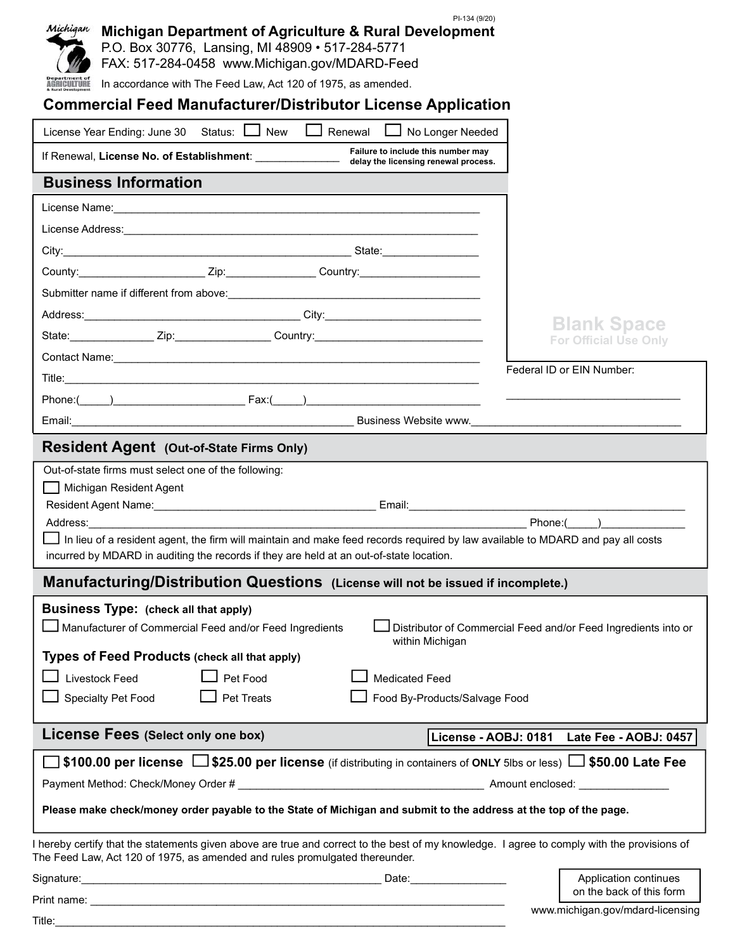| PI-134 (9/20)<br>Michigan<br>Michigan Department of Agriculture & Rural Development<br>P.O. Box 30776, Lansing, MI 48909 · 517-284-5771<br>FAX: 517-284-0458 www.Michigan.gov/MDARD-Feed<br>In accordance with The Feed Law, Act 120 of 1975, as amended.<br><b>AGRICULTURE</b> |                                                                |
|---------------------------------------------------------------------------------------------------------------------------------------------------------------------------------------------------------------------------------------------------------------------------------|----------------------------------------------------------------|
| <b>Commercial Feed Manufacturer/Distributor License Application</b>                                                                                                                                                                                                             |                                                                |
| Status: New<br>$\Box$ Renewal<br>No Longer Needed<br>License Year Ending: June 30                                                                                                                                                                                               |                                                                |
|                                                                                                                                                                                                                                                                                 |                                                                |
| <b>Business Information</b>                                                                                                                                                                                                                                                     |                                                                |
|                                                                                                                                                                                                                                                                                 |                                                                |
|                                                                                                                                                                                                                                                                                 |                                                                |
|                                                                                                                                                                                                                                                                                 |                                                                |
| County: 2ip: 2ip: Country:                                                                                                                                                                                                                                                      |                                                                |
| Submitter name if different from above:<br><u> and the manual contract of the substantial of the substantial of the substantial of the substantial of the substantial of the substantial of the substantial of the substantial of </u>                                          |                                                                |
|                                                                                                                                                                                                                                                                                 |                                                                |
|                                                                                                                                                                                                                                                                                 | <b>Blank Space</b><br><b>For Official Use Only</b>             |
|                                                                                                                                                                                                                                                                                 |                                                                |
|                                                                                                                                                                                                                                                                                 | Federal ID or EIN Number:                                      |
|                                                                                                                                                                                                                                                                                 |                                                                |
| Email: Contract of the Contract of the Contract of the Contract of Business Website www.                                                                                                                                                                                        |                                                                |
| <b>Resident Agent (Out-of-State Firms Only)</b>                                                                                                                                                                                                                                 |                                                                |
| Out-of-state firms must select one of the following:                                                                                                                                                                                                                            |                                                                |
| Michigan Resident Agent                                                                                                                                                                                                                                                         |                                                                |
| Address: Andreas Address and Address and Address and Address and Address and Address and Address and Address a                                                                                                                                                                  | Phone: ( )                                                     |
| In lieu of a resident agent, the firm will maintain and make feed records required by law available to MDARD and pay all costs<br>incurred by MDARD in auditing the records if they are held at an out-of-state location.                                                       |                                                                |
| Manufacturing/Distribution Questions (License will not be issued if incomplete.)                                                                                                                                                                                                |                                                                |
| <b>Business Type: (check all that apply)</b>                                                                                                                                                                                                                                    |                                                                |
| Manufacturer of Commercial Feed and/or Feed Ingredients<br>within Michigan                                                                                                                                                                                                      | Distributor of Commercial Feed and/or Feed Ingredients into or |
| Types of Feed Products (check all that apply)                                                                                                                                                                                                                                   |                                                                |
| Livestock Feed<br>Pet Food<br><b>Medicated Feed</b>                                                                                                                                                                                                                             |                                                                |
| Specialty Pet Food<br>Pet Treats<br>Food By-Products/Salvage Food                                                                                                                                                                                                               |                                                                |
| License Fees (Select only one box)                                                                                                                                                                                                                                              | License - AOBJ: 0181 Late Fee - AOBJ: 0457                     |
| $\Box$ \$100.00 per license $\Box$ \$25.00 per license (if distributing in containers of ONLY 5lbs or less) $\Box$ \$50.00 Late Fee                                                                                                                                             |                                                                |
|                                                                                                                                                                                                                                                                                 |                                                                |
| Please make check/money order payable to the State of Michigan and submit to the address at the top of the page.                                                                                                                                                                |                                                                |
| I hereby certify that the statements given above are true and correct to the best of my knowledge. I agree to comply with the provisions of<br>The Feed Law, Act 120 of 1975, as amended and rules promulgated thereunder.                                                      |                                                                |
|                                                                                                                                                                                                                                                                                 | Application continues                                          |
|                                                                                                                                                                                                                                                                                 | on the back of this form                                       |
|                                                                                                                                                                                                                                                                                 | www.michigan.gov/mdard-licensing                               |